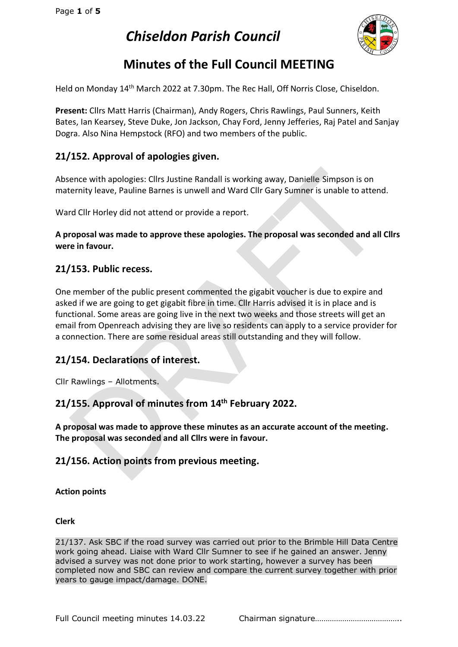

# **Minutes of the Full Council MEETING**

Held on Monday 14<sup>th</sup> March 2022 at 7.30pm. The Rec Hall, Off Norris Close, Chiseldon.

**Present:** Cllrs Matt Harris (Chairman), Andy Rogers, Chris Rawlings, Paul Sunners, Keith Bates, Ian Kearsey, Steve Duke, Jon Jackson, Chay Ford, Jenny Jefferies, Raj Patel and Sanjay Dogra. Also Nina Hempstock (RFO) and two members of the public.

## **21/152. Approval of apologies given.**

Absence with apologies: Cllrs Justine Randall is working away, Danielle Simpson is on maternity leave, Pauline Barnes is unwell and Ward Cllr Gary Sumner is unable to attend.

Ward Cllr Horley did not attend or provide a report.

**A proposal was made to approve these apologies. The proposal was seconded and all Cllrs were in favour.**

#### **21/153. Public recess.**

One member of the public present commented the gigabit voucher is due to expire and asked if we are going to get gigabit fibre in time. Cllr Harris advised it is in place and is functional. Some areas are going live in the next two weeks and those streets will get an email from Openreach advising they are live so residents can apply to a service provider for a connection. There are some residual areas still outstanding and they will follow.

### **21/154. Declarations of interest.**

Cllr Rawlings – Allotments.

## **21/155. Approval of minutes from 14 th February 2022.**

**A proposal was made to approve these minutes as an accurate account of the meeting. The proposal was seconded and all Cllrs were in favour.**

#### **21/156. Action points from previous meeting.**

#### **Action points**

**Clerk**

21/137. Ask SBC if the road survey was carried out prior to the Brimble Hill Data Centre work going ahead. Liaise with Ward Cllr Sumner to see if he gained an answer. Jenny advised a survey was not done prior to work starting, however a survey has been completed now and SBC can review and compare the current survey together with prior years to gauge impact/damage. DONE.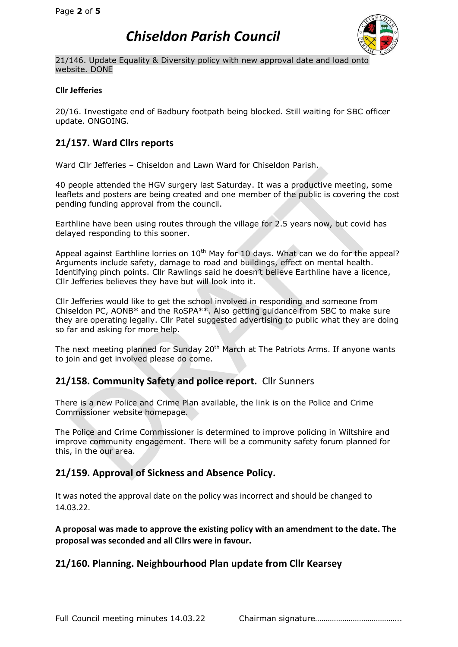

21/146. Update Equality & Diversity policy with new approval date and load onto website. DONE

#### **Cllr Jefferies**

20/16. Investigate end of Badbury footpath being blocked. Still waiting for SBC officer update. ONGOING.

## **21/157. Ward Cllrs reports**

Ward Cllr Jefferies – Chiseldon and Lawn Ward for Chiseldon Parish.

40 people attended the HGV surgery last Saturday. It was a productive meeting, some leaflets and posters are being created and one member of the public is covering the cost pending funding approval from the council.

Earthline have been using routes through the village for 2.5 years now, but covid has delayed responding to this sooner.

Appeal against Earthline lorries on  $10<sup>th</sup>$  May for 10 days. What can we do for the appeal? Arguments include safety, damage to road and buildings, effect on mental health. Identifying pinch points. Cllr Rawlings said he doesn't believe Earthline have a licence, Cllr Jefferies believes they have but will look into it.

Cllr Jefferies would like to get the school involved in responding and someone from Chiseldon PC, AONB\* and the RoSPA\*\*. Also getting guidance from SBC to make sure they are operating legally. Cllr Patel suggested advertising to public what they are doing so far and asking for more help.

The next meeting planned for Sunday  $20<sup>th</sup>$  March at The Patriots Arms. If anyone wants to join and get involved please do come.

### **21/158. Community Safety and police report.** Cllr Sunners

There is a new Police and Crime Plan available, the link is on the Police and Crime Commissioner website homepage.

The Police and Crime Commissioner is determined to improve policing in Wiltshire and improve community engagement. There will be a community safety forum planned for this, in the our area.

### **21/159. Approval of Sickness and Absence Policy.**

It was noted the approval date on the policy was incorrect and should be changed to 14.03.22.

**A proposal was made to approve the existing policy with an amendment to the date. The proposal was seconded and all Cllrs were in favour.**

### **21/160. Planning. Neighbourhood Plan update from Cllr Kearsey**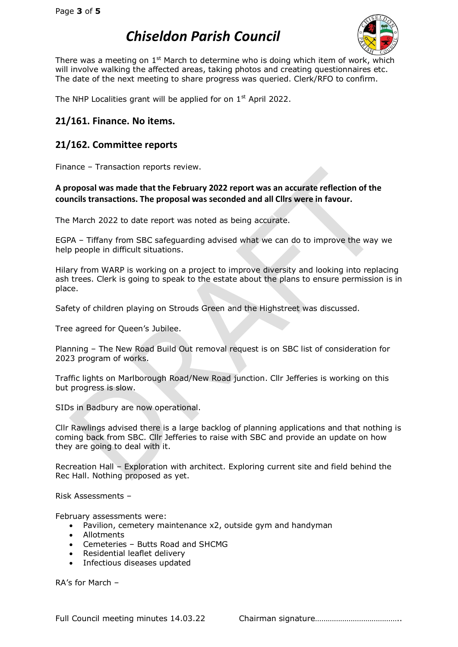

There was a meeting on  $1<sup>st</sup>$  March to determine who is doing which item of work, which will involve walking the affected areas, taking photos and creating questionnaires etc. The date of the next meeting to share progress was queried. Clerk/RFO to confirm.

The NHP Localities grant will be applied for on  $1<sup>st</sup>$  April 2022.

#### **21/161. Finance. No items.**

#### **21/162. Committee reports**

Finance – Transaction reports review.

**A proposal was made that the February 2022 report was an accurate reflection of the councils transactions. The proposal was seconded and all Cllrs were in favour.**

The March 2022 to date report was noted as being accurate.

EGPA – Tiffany from SBC safeguarding advised what we can do to improve the way we help people in difficult situations.

Hilary from WARP is working on a project to improve diversity and looking into replacing ash trees. Clerk is going to speak to the estate about the plans to ensure permission is in place.

Safety of children playing on Strouds Green and the Highstreet was discussed.

Tree agreed for Queen's Jubilee.

Planning – The New Road Build Out removal request is on SBC list of consideration for 2023 program of works.

Traffic lights on Marlborough Road/New Road junction. Cllr Jefferies is working on this but progress is slow.

SIDs in Badbury are now operational.

Cllr Rawlings advised there is a large backlog of planning applications and that nothing is coming back from SBC. Cllr Jefferies to raise with SBC and provide an update on how they are going to deal with it.

Recreation Hall – Exploration with architect. Exploring current site and field behind the Rec Hall. Nothing proposed as yet.

Risk Assessments –

February assessments were:

- Pavilion, cemetery maintenance x2, outside gym and handyman
- Allotments
- Cemeteries Butts Road and SHCMG
- Residential leaflet delivery
- Infectious diseases updated

RA's for March –

Full Council meeting minutes 14.03.22 Chairman signature…………………………………..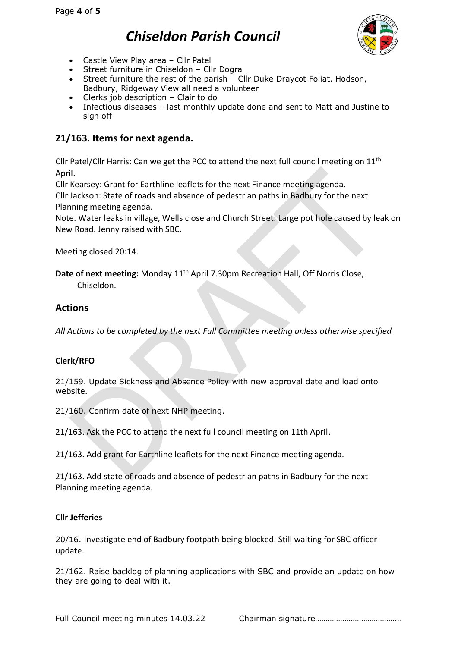

- Castle View Play area Cllr Patel
- Street furniture in Chiseldon Cllr Dogra
- Street furniture the rest of the parish Cllr Duke Draycot Foliat. Hodson, Badbury, Ridgeway View all need a volunteer
- Clerks job description Clair to do
- Infectious diseases last monthly update done and sent to Matt and Justine to sign off

## **21/163. Items for next agenda.**

Cllr Patel/Cllr Harris: Can we get the PCC to attend the next full council meeting on 11<sup>th</sup> April.

Cllr Kearsey: Grant for Earthline leaflets for the next Finance meeting agenda.

Cllr Jackson: State of roads and absence of pedestrian paths in Badbury for the next Planning meeting agenda.

Note. Water leaks in village, Wells close and Church Street. Large pot hole caused by leak on New Road. Jenny raised with SBC.

Meeting closed 20:14.

Date of next meeting: Monday 11<sup>th</sup> April 7.30pm Recreation Hall, Off Norris Close, Chiseldon.

## **Actions**

*All Actions to be completed by the next Full Committee meeting unless otherwise specified*

#### **Clerk/RFO**

21/159. Update Sickness and Absence Policy with new approval date and load onto website.

21/160. Confirm date of next NHP meeting.

21/163. Ask the PCC to attend the next full council meeting on 11th April.

21/163. Add grant for Earthline leaflets for the next Finance meeting agenda.

21/163. Add state of roads and absence of pedestrian paths in Badbury for the next Planning meeting agenda.

#### **Cllr Jefferies**

20/16. Investigate end of Badbury footpath being blocked. Still waiting for SBC officer update.

21/162. Raise backlog of planning applications with SBC and provide an update on how they are going to deal with it.